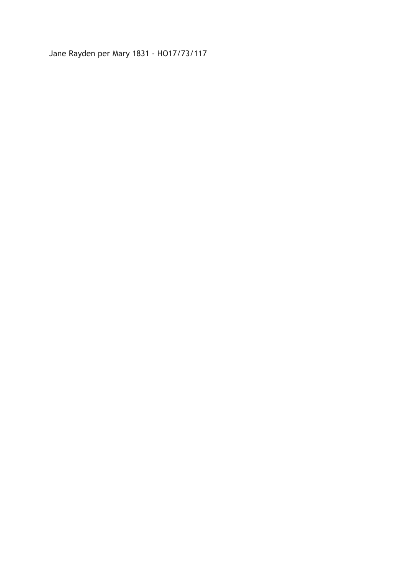Jane Rayden per Mary 1831 - HO17/73/117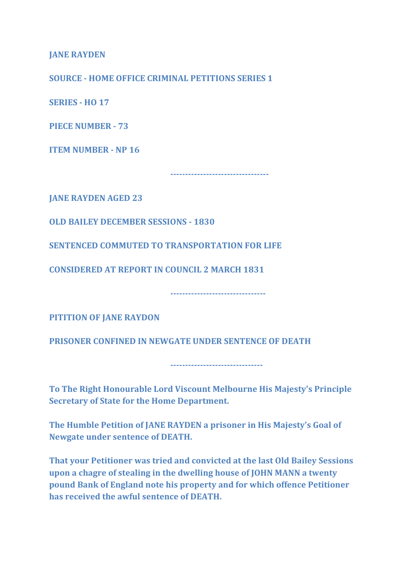JANE RAYDEN

SOURCE - HOME OFFICE CRIMINAL PETITIONS SERIES 1

**SERIES - HO 17** 

PIECE NUMBER - 73

ITEM NUMBER - NP 16

---------------------------------

JANE RAYDEN AGED 23

OLD BAILEY DECEMBER SESSIONS - 1830

SENTENCED COMMUTED TO TRANSPORTATION FOR LIFE

CONSIDERED AT REPORT IN COUNCIL 2 MARCH 1831

PITITION OF JANE RAYDON

PRISONER CONFINED IN NEWGATE UNDER SENTENCE OF DEATH

-------------------------------

--------------------------------

To The Right Honourable Lord Viscount Melbourne His Majesty's Principle Secretary of State for the Home Department.

The Humble Petition of JANE RAYDEN a prisoner in His Majesty's Goal of Newgate under sentence of DEATH.

That your Petitioner was tried and convicted at the last Old Bailey Sessions upon a chagre of stealing in the dwelling house of JOHN MANN a twenty pound Bank of England note his property and for which offence Petitioner has received the awful sentence of DEATH.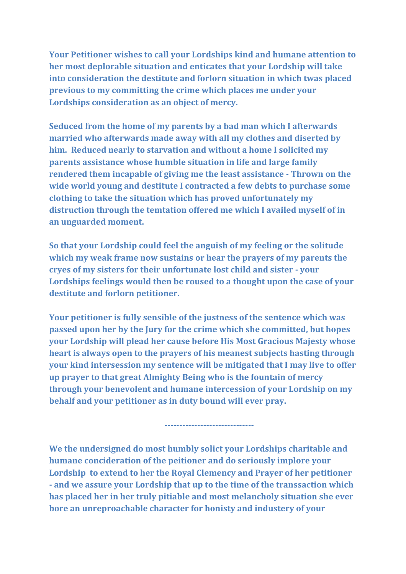Your Petitioner wishes to call your Lordships kind and humane attention to her most deplorable situation and enticates that your Lordship will take into consideration the destitute and forlorn situation in which twas placed previous to my committing the crime which places me under your Lordships consideration as an object of mercy.

Seduced from the home of my parents by a bad man which I afterwards married who afterwards made away with all my clothes and diserted by him. Reduced nearly to starvation and without a home I solicited my parents assistance whose humble situation in life and large family rendered them incapable of giving me the least assistance - Thrown on the wide world young and destitute I contracted a few debts to purchase some clothing to take the situation which has proved unfortunately my distruction through the temtation offered me which I availed myself of in an unguarded moment.

So that your Lordship could feel the anguish of my feeling or the solitude which my weak frame now sustains or hear the prayers of my parents the cryes of my sisters for their unfortunate lost child and sister - your Lordships feelings would then be roused to a thought upon the case of your destitute and forlorn petitioner.

Your petitioner is fully sensible of the justness of the sentence which was passed upon her by the Jury for the crime which she committed, but hopes your Lordship will plead her cause before His Most Gracious Majesty whose heart is always open to the prayers of his meanest subjects hasting through your kind intersession my sentence will be mitigated that I may live to offer up prayer to that great Almighty Being who is the fountain of mercy through your benevolent and humane intercession of your Lordship on my behalf and your petitioner as in duty bound will ever pray.

We the undersigned do most humbly solict your Lordships charitable and humane concideration of the peitioner and do seriously implore your Lordship to extend to her the Royal Clemency and Prayer of her petitioner - and we assure your Lordship that up to the time of the transsaction which has placed her in her truly pitiable and most melancholy situation she ever bore an unreproachable character for honisty and industery of your

------------------------------